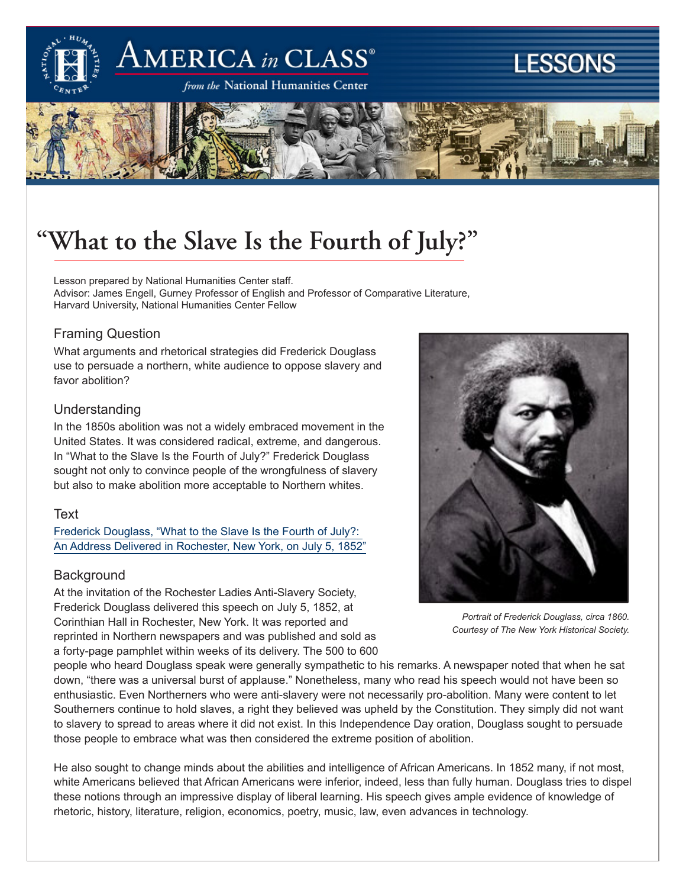# $\operatorname{AMERICA}$  in  $\operatorname{CLASS}^*$

from the National Humanities Center

## **LESSONS**



## **"What to the Slave Is the Fourth of July?"**

Lesson prepared by National Humanities Center staff. Advisor: James Engell, Gurney Professor of English and Professor of Comparative Literature, Harvard University, National Humanities Center Fellow

## Framing Question

What arguments and rhetorical strategies did Frederick Douglass use to persuade a northern, white audience to oppose slavery and favor abolition?

## Understanding

In the 1850s abolition was not a widely embraced movement in the United States. It was considered radical, extreme, and dangerous. In "What to the Slave Is the Fourth of July?" Frederick Douglass sought not only to convince people of the wrongfulness of slavery but also to make abolition more acceptable to Northern whites.

## Text

[Frederick Douglass, "What to the Slave Is the Fourth of July?:](http://americainclass.org/wp-content/uploads/2011/04/Douglass-FullText.pdf)  [An Address Delivered in Rochester, New York, on July 5, 1852"](http://americainclass.org/wp-content/uploads/2011/04/Douglass-FullText.pdf)

## **Background**

At the invitation of the Rochester Ladies Anti-Slavery Society, Frederick Douglass delivered this speech on July 5, 1852, at Corinthian Hall in Rochester, New York. It was reported and reprinted in Northern newspapers and was published and sold as a forty-page pamphlet within weeks of its delivery. The 500 to 600



*Portrait of Frederick Douglass, circa 1860. Courtesy of The New York Historical Society.*

people who heard Douglass speak were generally sympathetic to his remarks. A newspaper noted that when he sat down, "there was a universal burst of applause." Nonetheless, many who read his speech would not have been so enthusiastic. Even Northerners who were anti-slavery were not necessarily pro-abolition. Many were content to let Southerners continue to hold slaves, a right they believed was upheld by the Constitution. They simply did not want to slavery to spread to areas where it did not exist. In this Independence Day oration, Douglass sought to persuade those people to embrace what was then considered the extreme position of abolition.

He also sought to change minds about the abilities and intelligence of African Americans. In 1852 many, if not most, white Americans believed that African Americans were inferior, indeed, less than fully human. Douglass tries to dispel these notions through an impressive display of liberal learning. His speech gives ample evidence of knowledge of rhetoric, history, literature, religion, economics, poetry, music, law, even advances in technology.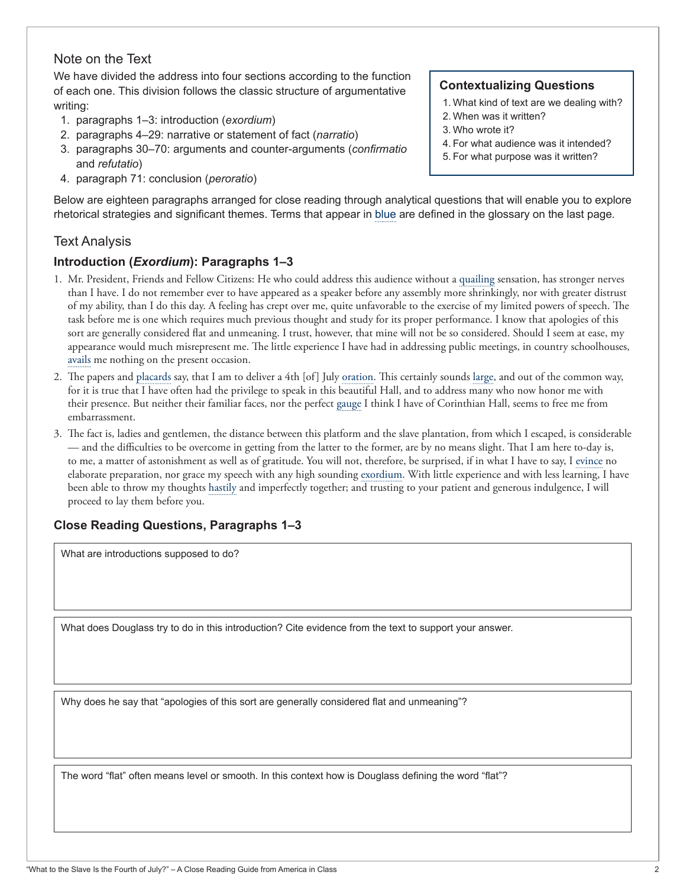## Note on the Text

We have divided the address into four sections according to the function of each one. This division follows the classic structure of argumentative writing:

- 1. paragraphs 1–3: introduction (*exordium*)
- 2. paragraphs 4–29: narrative or statement of fact (*narratio*)
- 3. paragraphs 30–70: arguments and counter-arguments (*confirmatio* and *refutatio*)
- 4. paragraph 71: conclusion (*peroratio*)

## **Contextualizing Questions**

- 1. What kind of text are we dealing with?
- 2. When was it written?
- 3. Who wrote it?
- 4. For what audience was it intended?
- 5. For what purpose was it written?

Below are eighteen paragraphs arranged for close reading through analytical questions that will enable you to explore rhetorical strategies and significant themes. Terms that appear in blue are defined in the glossary on the last page.

## Text Analysis

## **Introduction (***Exordium***): Paragraphs 1–3**

- 1. Mr. President, Friends and Fellow Citizens: He who could address this audience without a quailing sensation, has stronger nerves than I have. I do not remember ever to have appeared as a speaker before any assembly more shrinkingly, nor with greater distrust of my ability, than I do this day. A feeling has crept over me, quite unfavorable to the exercise of my limited powers of speech. The task before me is one which requires much previous thought and study for its proper performance. I know that apologies of this sort are generally considered flat and unmeaning. I trust, however, that mine will not be so considered. Should I seem at ease, my appearance would much misrepresent me. The little experience I have had in addressing public meetings, in country schoolhouses, avails me nothing on the present occasion.
- 2. The papers and placards say, that I am to deliver a 4th [of] July oration. This certainly sounds large, and out of the common way, for it is true that I have often had the privilege to speak in this beautiful Hall, and to address many who now honor me with their presence. But neither their familiar faces, nor the perfect gauge I think I have of Corinthian Hall, seems to free me from embarrassment.
- 3. The fact is, ladies and gentlemen, the distance between this platform and the slave plantation, from which I escaped, is considerable — and the difficulties to be overcome in getting from the latter to the former, are by no means slight. That I am here to-day is, to me, a matter of astonishment as well as of gratitude. You will not, therefore, be surprised, if in what I have to say, I evince no elaborate preparation, nor grace my speech with any high sounding exordium. With little experience and with less learning, I have been able to throw my thoughts hastily and imperfectly together; and trusting to your patient and generous indulgence, I will proceed to lay them before you.

## **Close Reading Questions, Paragraphs 1–3**

What are introductions supposed to do?

What does Douglass try to do in this introduction? Cite evidence from the text to support your answer.

Why does he say that "apologies of this sort are generally considered flat and unmeaning"?

The word "flat" often means level or smooth. In this context how is Douglass defining the word "flat"?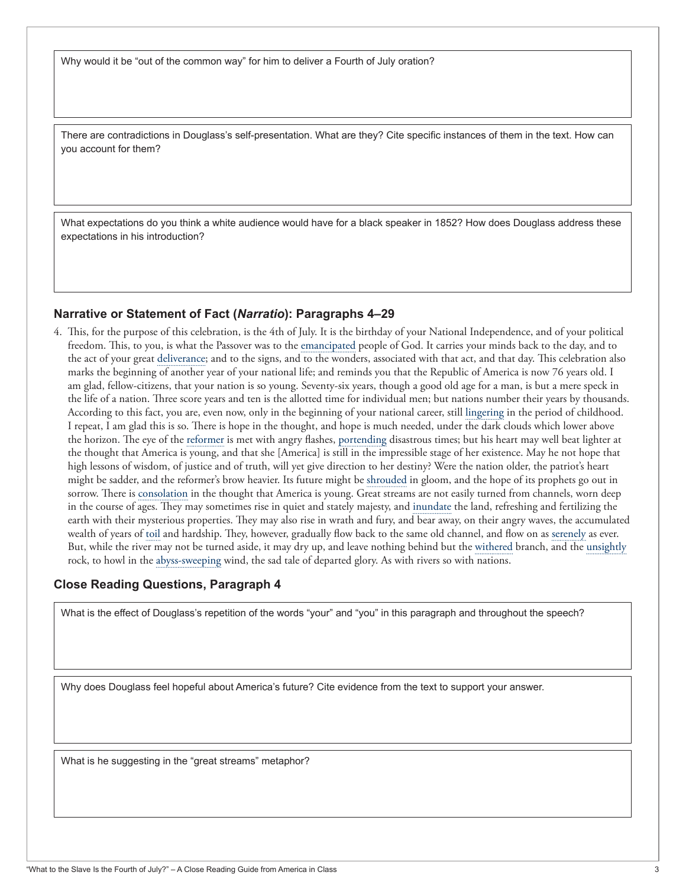Why would it be "out of the common way" for him to deliver a Fourth of July oration?

There are contradictions in Douglass's self-presentation. What are they? Cite specific instances of them in the text. How can you account for them?

What expectations do you think a white audience would have for a black speaker in 1852? How does Douglass address these expectations in his introduction?

#### **Narrative or Statement of Fact (***Narratio***): Paragraphs 4–29**

4. This, for the purpose of this celebration, is the 4th of July. It is the birthday of your National Independence, and of your political freedom. This, to you, is what the Passover was to the emancipated people of God. It carries your minds back to the day, and to the act of your great deliverance; and to the signs, and to the wonders, associated with that act, and that day. This celebration also marks the beginning of another year of your national life; and reminds you that the Republic of America is now 76 years old. I am glad, fellow-citizens, that your nation is so young. Seventy-six years, though a good old age for a man, is but a mere speck in the life of a nation. Three score years and ten is the allotted time for individual men; but nations number their years by thousands. According to this fact, you are, even now, only in the beginning of your national career, still lingering in the period of childhood. I repeat, I am glad this is so. There is hope in the thought, and hope is much needed, under the dark clouds which lower above the horizon. The eye of the reformer is met with angry flashes, portending disastrous times; but his heart may well beat lighter at the thought that America is young, and that she [America] is still in the impressible stage of her existence. May he not hope that high lessons of wisdom, of justice and of truth, will yet give direction to her destiny? Were the nation older, the patriot's heart might be sadder, and the reformer's brow heavier. Its future might be shrouded in gloom, and the hope of its prophets go out in sorrow. There is consolation in the thought that America is young. Great streams are not easily turned from channels, worn deep in the course of ages. They may sometimes rise in quiet and stately majesty, and inundate the land, refreshing and fertilizing the earth with their mysterious properties. They may also rise in wrath and fury, and bear away, on their angry waves, the accumulated wealth of years of toil and hardship. They, however, gradually flow back to the same old channel, and flow on as serenely as ever. But, while the river may not be turned aside, it may dry up, and leave nothing behind but the withered branch, and the unsightly rock, to howl in the abyss-sweeping wind, the sad tale of departed glory. As with rivers so with nations.

#### **Close Reading Questions, Paragraph 4**

What is the effect of Douglass's repetition of the words "your" and "you" in this paragraph and throughout the speech?

Why does Douglass feel hopeful about America's future? Cite evidence from the text to support your answer.

What is he suggesting in the "great streams" metaphor?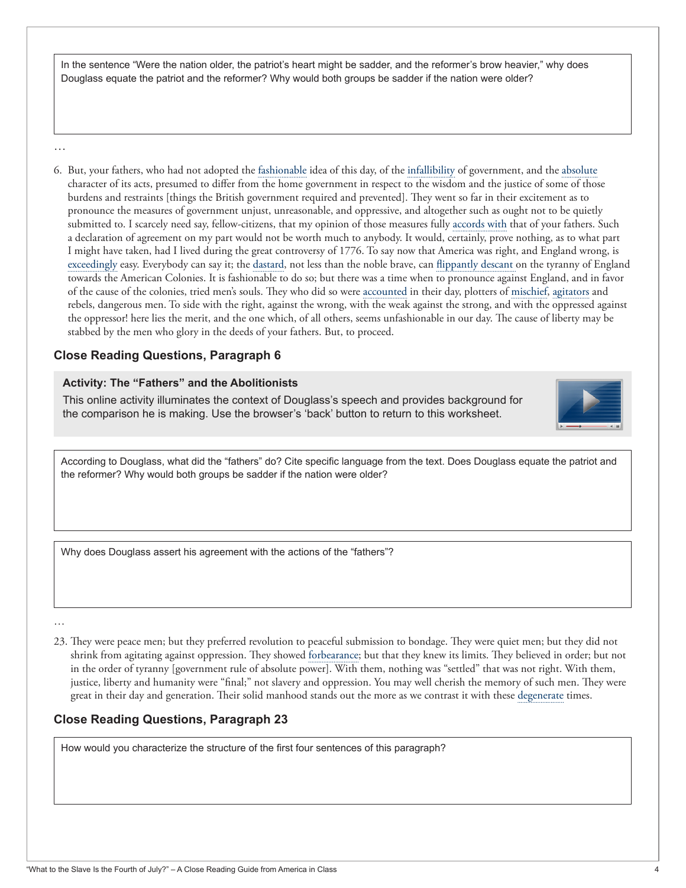In the sentence "Were the nation older, the patriot's heart might be sadder, and the reformer's brow heavier," why does Douglass equate the patriot and the reformer? Why would both groups be sadder if the nation were older?

…

6. But, your fathers, who had not adopted the fashionable idea of this day, of the infallibility of government, and the absolute character of its acts, presumed to differ from the home government in respect to the wisdom and the justice of some of those burdens and restraints [things the British government required and prevented]. They went so far in their excitement as to pronounce the measures of government unjust, unreasonable, and oppressive, and altogether such as ought not to be quietly submitted to. I scarcely need say, fellow-citizens, that my opinion of those measures fully accords with that of your fathers. Such a declaration of agreement on my part would not be worth much to anybody. It would, certainly, prove nothing, as to what part I might have taken, had I lived during the great controversy of 1776. To say now that America was right, and England wrong, is exceedingly easy. Everybody can say it; the dastard, not less than the noble brave, can flippantly descant on the tyranny of England towards the American Colonies. It is fashionable to do so; but there was a time when to pronounce against England, and in favor of the cause of the colonies, tried men's souls. They who did so were accounted in their day, plotters of mischief, agitators and rebels, dangerous men. To side with the right, against the wrong, with the weak against the strong, and with the oppressed against the oppressor! here lies the merit, and the one which, of all others, seems unfashionable in our day. The cause of liberty may be stabbed by the men who glory in the deeds of your fathers. But, to proceed.

## **Close Reading Questions, Paragraph 6**

#### **Activity: The "Fathers" and the Abolitionists**

[This online activity illuminates the context of Douglass's speech and provides background for](http://americainclass.org/wp-content/activities/Douglass-Activity1/multiscreen.html)  the comparison he is making. Use the browser's 'back' button to return to this worksheet.



According to Douglass, what did the "fathers" do? Cite specific language from the text. Does Douglass equate the patriot and the reformer? Why would both groups be sadder if the nation were older?

Why does Douglass assert his agreement with the actions of the "fathers"?

…

23. They were peace men; but they preferred revolution to peaceful submission to bondage. They were quiet men; but they did not shrink from agitating against oppression. They showed forbearance; but that they knew its limits. They believed in order; but not in the order of tyranny [government rule of absolute power]. With them, nothing was "settled" that was not right. With them, justice, liberty and humanity were "final;" not slavery and oppression. You may well cherish the memory of such men. They were great in their day and generation. Their solid manhood stands out the more as we contrast it with these degenerate times.

## **Close Reading Questions, Paragraph 23**

How would you characterize the structure of the first four sentences of this paragraph?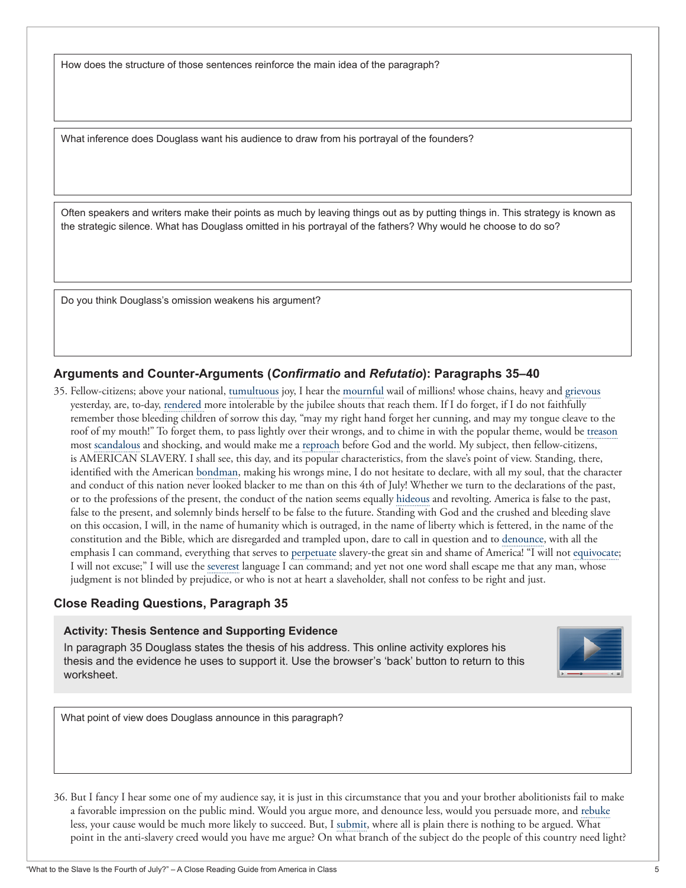How does the structure of those sentences reinforce the main idea of the paragraph?

What inference does Douglass want his audience to draw from his portrayal of the founders?

Often speakers and writers make their points as much by leaving things out as by putting things in. This strategy is known as the strategic silence. What has Douglass omitted in his portrayal of the fathers? Why would he choose to do so?

Do you think Douglass's omission weakens his argument?

#### **Arguments and Counter-Arguments (***Confirmatio* **and** *Refutatio***): Paragraphs 35–40**

35. Fellow-citizens; above your national, tumultuous joy, I hear the mournful wail of millions! whose chains, heavy and grievous yesterday, are, to-day, rendered more intolerable by the jubilee shouts that reach them. If I do forget, if I do not faithfully remember those bleeding children of sorrow this day, "may my right hand forget her cunning, and may my tongue cleave to the roof of my mouth!" To forget them, to pass lightly over their wrongs, and to chime in with the popular theme, would be treason most scandalous and shocking, and would make me a reproach before God and the world. My subject, then fellow-citizens, is AMERICAN SLAVERY. I shall see, this day, and its popular characteristics, from the slave's point of view. Standing, there, identified with the American bondman, making his wrongs mine, I do not hesitate to declare, with all my soul, that the character and conduct of this nation never looked blacker to me than on this 4th of July! Whether we turn to the declarations of the past, or to the professions of the present, the conduct of the nation seems equally hideous and revolting. America is false to the past, false to the present, and solemnly binds herself to be false to the future. Standing with God and the crushed and bleeding slave on this occasion, I will, in the name of humanity which is outraged, in the name of liberty which is fettered, in the name of the constitution and the Bible, which are disregarded and trampled upon, dare to call in question and to denounce, with all the emphasis I can command, everything that serves to perpetuate slavery-the great sin and shame of America! "I will not equivocate; I will not excuse;" I will use the severest language I can command; and yet not one word shall escape me that any man, whose judgment is not blinded by prejudice, or who is not at heart a slaveholder, shall not confess to be right and just.

#### **Close Reading Questions, Paragraph 35**

#### **Activity: Thesis Sentence and Supporting Evidence**

In paragraph 35 Douglass states the thesis of his address. This online activity explores his [thesis and the evidence he uses to support it. Use the browser's 'back' button to return to this](http://americainclass.org/wp-content/activities/Douglass-Activity2/multiscreen.html)  worksheet.



What point of view does Douglass announce in this paragraph?

36. But I fancy I hear some one of my audience say, it is just in this circumstance that you and your brother abolitionists fail to make a favorable impression on the public mind. Would you argue more, and denounce less, would you persuade more, and rebuke less, your cause would be much more likely to succeed. But, I submit, where all is plain there is nothing to be argued. What point in the anti-slavery creed would you have me argue? On what branch of the subject do the people of this country need light?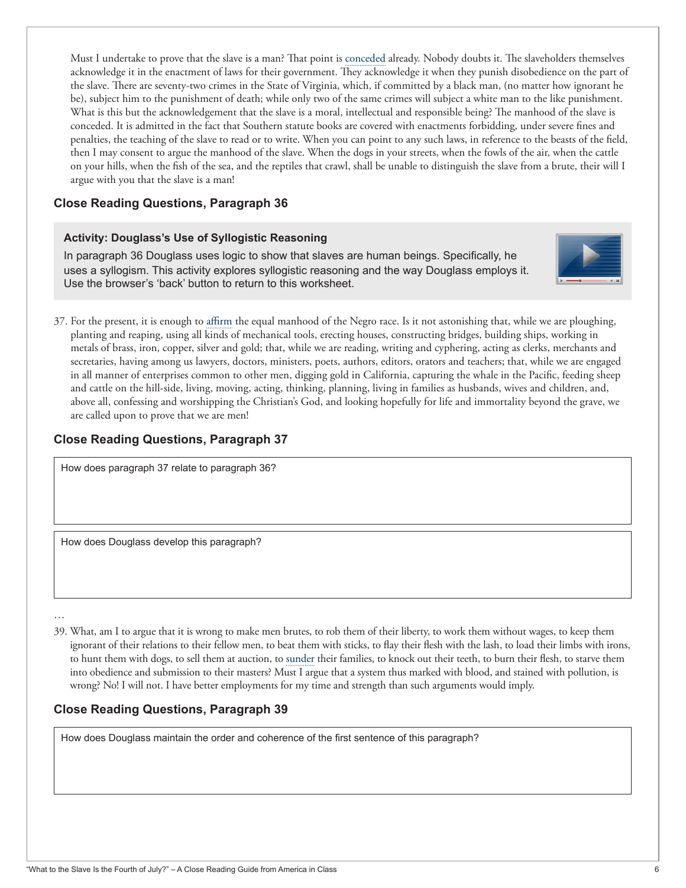Must I undertake to prove that the slave is a man? That point is conceded already. Nobody doubts it. The slaveholders themselves acknowledge it in the enactment of laws for their government. They acknowledge it when they punish disobedience on the part of the slave. There are seventy-two crimes in the State of Virginia, which, if committed by a black man, (no matter how ignorant he be), subject him to the punishment of death; while only two of the same crimes will subject a white man to the like punishment. What is this but the acknowledgement that the slave is a moral, intellectual and responsible being? The manhood of the slave is conceded. It is admitted in the fact that Southern statute books are covered with enactments forbidding, under severe fines and penalties, the teaching of the slave to read or to write. When you can point to any such laws, in reference to the beasts of the field, then I may consent to argue the manhood of the slave. When the dogs in your streets, when the fowls of the air, when the cattle on your hills, when the fish of the sea, and the reptiles that crawl, shall be unable to distinguish the slave from a brute, their will I argue with you that the slave is a man!

## **Close Reading Questions, Paragraph 36**

#### **Activity: Douglass's Use of Syllogistic Reasoning**

In paragraph 36 Douglass uses logic to show that slaves are human beings. Specifically, he [uses a syllogism. This activity explores syllogistic reasoning and the way Douglass employs it.](http://americainclass.org/wp-content/activities/Douglass-Activity3/multiscreen.html)  Use the browser's 'back' button to return to this worksheet.



37. For the present, it is enough to affirm the equal manhood of the Negro race. Is it not astonishing that, while we are ploughing, planting and reaping, using all kinds of mechanical tools, erecting houses, constructing bridges, building ships, working in metals of brass, iron, copper, silver and gold; that, while we are reading, writing and cyphering, acting as clerks, merchants and secretaries, having among us lawyers, doctors, ministers, poets, authors, editors, orators and teachers; that, while we are engaged in all manner of enterprises common to other men, digging gold in California, capturing the whale in the Pacific, feeding sheep and cattle on the hill-side, living, moving, acting, thinking, planning, living in families as husbands, wives and children, and, above all, confessing and worshipping the Christian's God, and looking hopefully for life and immortality beyond the grave, we are called upon to prove that we are men!

## **Close Reading Questions, Paragraph 37**

How does paragraph 37 relate to paragraph 36?

How does Douglass develop this paragraph?

…

39. What, am I to argue that it is wrong to make men brutes, to rob them of their liberty, to work them without wages, to keep them ignorant of their relations to their fellow men, to beat them with sticks, to flay their flesh with the lash, to load their limbs with irons, to hunt them with dogs, to sell them at auction, to sunder their families, to knock out their teeth, to burn their flesh, to starve them into obedience and submission to their masters? Must I argue that a system thus marked with blood, and stained with pollution, is wrong? No! I will not. I have better employments for my time and strength than such arguments would imply.

## **Close Reading Questions, Paragraph 39**

How does Douglass maintain the order and coherence of the first sentence of this paragraph?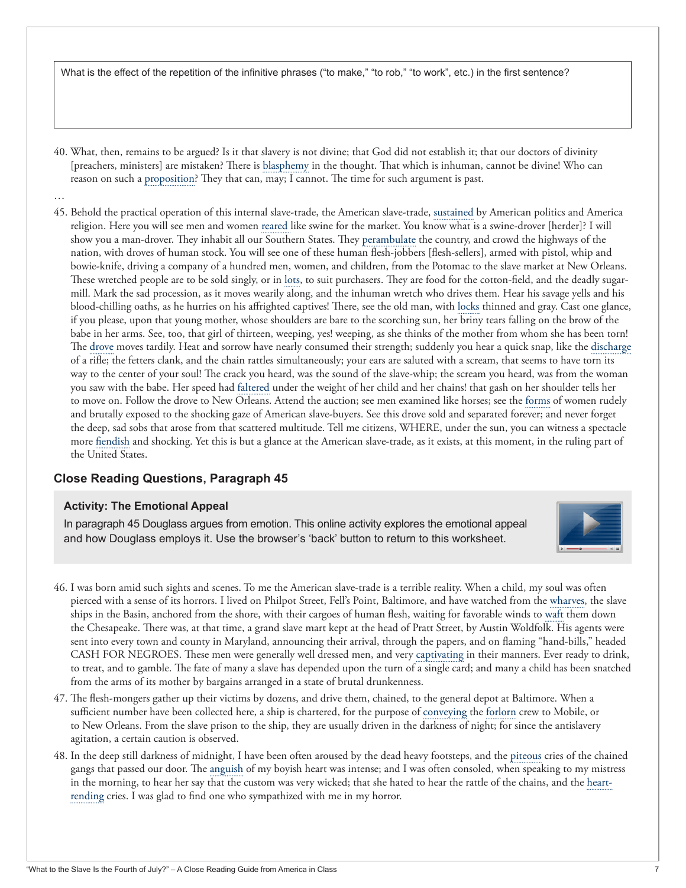What is the effect of the repetition of the infinitive phrases ("to make," "to rob," "to work", etc.) in the first sentence?

- 40. What, then, remains to be argued? Is it that slavery is not divine; that God did not establish it; that our doctors of divinity [preachers, ministers] are mistaken? There is blasphemy in the thought. That which is inhuman, cannot be divine! Who can reason on such a proposition? They that can, may; I cannot. The time for such argument is past.
- …
- 45. Behold the practical operation of this internal slave-trade, the American slave-trade, sustained by American politics and America religion. Here you will see men and women reared like swine for the market. You know what is a swine-drover [herder]? I will show you a man-drover. They inhabit all our Southern States. They perambulate the country, and crowd the highways of the nation, with droves of human stock. You will see one of these human flesh-jobbers [flesh-sellers], armed with pistol, whip and bowie-knife, driving a company of a hundred men, women, and children, from the Potomac to the slave market at New Orleans. These wretched people are to be sold singly, or in lots, to suit purchasers. They are food for the cotton-field, and the deadly sugarmill. Mark the sad procession, as it moves wearily along, and the inhuman wretch who drives them. Hear his savage yells and his blood-chilling oaths, as he hurries on his affrighted captives! There, see the old man, with locks thinned and gray. Cast one glance, if you please, upon that young mother, whose shoulders are bare to the scorching sun, her briny tears falling on the brow of the babe in her arms. See, too, that girl of thirteen, weeping, yes! weeping, as she thinks of the mother from whom she has been torn! The drove moves tardily. Heat and sorrow have nearly consumed their strength; suddenly you hear a quick snap, like the discharge of a rifle; the fetters clank, and the chain rattles simultaneously; your ears are saluted with a scream, that seems to have torn its way to the center of your soul! The crack you heard, was the sound of the slave-whip; the scream you heard, was from the woman you saw with the babe. Her speed had faltered under the weight of her child and her chains! that gash on her shoulder tells her to move on. Follow the drove to New Orleans. Attend the auction; see men examined like horses; see the forms of women rudely and brutally exposed to the shocking gaze of American slave-buyers. See this drove sold and separated forever; and never forget the deep, sad sobs that arose from that scattered multitude. Tell me citizens, WHERE, under the sun, you can witness a spectacle more fiendish and shocking. Yet this is but a glance at the American slave-trade, as it exists, at this moment, in the ruling part of the United States.

## **Close Reading Questions, Paragraph 45**

#### **Activity: The Emotional Appeal**

[In paragraph 45 Douglass argues from emotion. This online activity explores the emotional appeal](http://americainclass.org/wp-content/activities/Douglass-Activity4/multiscreen.html)  and how Douglass employs it. Use the browser's 'back' button to return to this worksheet.



- 46. I was born amid such sights and scenes. To me the American slave-trade is a terrible reality. When a child, my soul was often pierced with a sense of its horrors. I lived on Philpot Street, Fell's Point, Baltimore, and have watched from the wharves, the slave ships in the Basin, anchored from the shore, with their cargoes of human flesh, waiting for favorable winds to waft them down the Chesapeake. There was, at that time, a grand slave mart kept at the head of Pratt Street, by Austin Woldfolk. His agents were sent into every town and county in Maryland, announcing their arrival, through the papers, and on flaming "hand-bills," headed CASH FOR NEGROES. These men were generally well dressed men, and very captivating in their manners. Ever ready to drink, to treat, and to gamble. The fate of many a slave has depended upon the turn of a single card; and many a child has been snatched from the arms of its mother by bargains arranged in a state of brutal drunkenness.
- 47. The flesh-mongers gather up their victims by dozens, and drive them, chained, to the general depot at Baltimore. When a sufficient number have been collected here, a ship is chartered, for the purpose of conveying the forlorn crew to Mobile, or to New Orleans. From the slave prison to the ship, they are usually driven in the darkness of night; for since the antislavery agitation, a certain caution is observed.
- 48. In the deep still darkness of midnight, I have been often aroused by the dead heavy footsteps, and the piteous cries of the chained gangs that passed our door. The anguish of my boyish heart was intense; and I was often consoled, when speaking to my mistress in the morning, to hear her say that the custom was very wicked; that she hated to hear the rattle of the chains, and the heartrending cries. I was glad to find one who sympathized with me in my horror.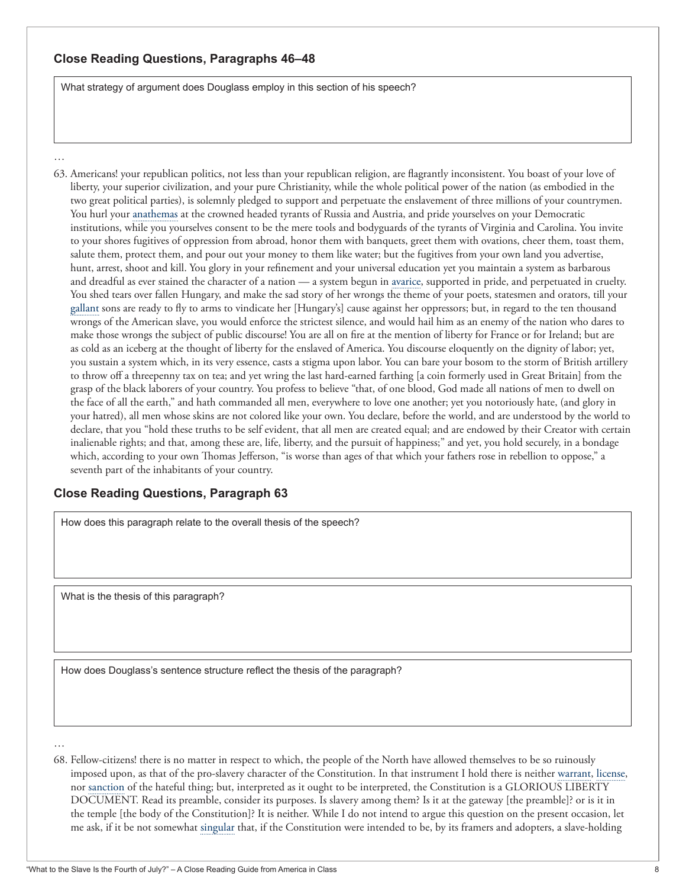## **Close Reading Questions, Paragraphs 46–48**

What strategy of argument does Douglass employ in this section of his speech?

…

63. Americans! your republican politics, not less than your republican religion, are flagrantly inconsistent. You boast of your love of liberty, your superior civilization, and your pure Christianity, while the whole political power of the nation (as embodied in the two great political parties), is solemnly pledged to support and perpetuate the enslavement of three millions of your countrymen. You hurl your anathemas at the crowned headed tyrants of Russia and Austria, and pride yourselves on your Democratic institutions, while you yourselves consent to be the mere tools and bodyguards of the tyrants of Virginia and Carolina. You invite to your shores fugitives of oppression from abroad, honor them with banquets, greet them with ovations, cheer them, toast them, salute them, protect them, and pour out your money to them like water; but the fugitives from your own land you advertise, hunt, arrest, shoot and kill. You glory in your refinement and your universal education yet you maintain a system as barbarous and dreadful as ever stained the character of a nation — a system begun in avarice, supported in pride, and perpetuated in cruelty. You shed tears over fallen Hungary, and make the sad story of her wrongs the theme of your poets, statesmen and orators, till your gallant sons are ready to fly to arms to vindicate her [Hungary's] cause against her oppressors; but, in regard to the ten thousand wrongs of the American slave, you would enforce the strictest silence, and would hail him as an enemy of the nation who dares to make those wrongs the subject of public discourse! You are all on fire at the mention of liberty for France or for Ireland; but are as cold as an iceberg at the thought of liberty for the enslaved of America. You discourse eloquently on the dignity of labor; yet, you sustain a system which, in its very essence, casts a stigma upon labor. You can bare your bosom to the storm of British artillery to throw off a threepenny tax on tea; and yet wring the last hard-earned farthing [a coin formerly used in Great Britain] from the grasp of the black laborers of your country. You profess to believe "that, of one blood, God made all nations of men to dwell on the face of all the earth," and hath commanded all men, everywhere to love one another; yet you notoriously hate, (and glory in your hatred), all men whose skins are not colored like your own. You declare, before the world, and are understood by the world to declare, that you "hold these truths to be self evident, that all men are created equal; and are endowed by their Creator with certain inalienable rights; and that, among these are, life, liberty, and the pursuit of happiness;" and yet, you hold securely, in a bondage which, according to your own Thomas Jefferson, "is worse than ages of that which your fathers rose in rebellion to oppose," a seventh part of the inhabitants of your country.

## **Close Reading Questions, Paragraph 63**

How does this paragraph relate to the overall thesis of the speech?

What is the thesis of this paragraph?

How does Douglass's sentence structure reflect the thesis of the paragraph?

…

68. Fellow-citizens! there is no matter in respect to which, the people of the North have allowed themselves to be so ruinously imposed upon, as that of the pro-slavery character of the Constitution. In that instrument I hold there is neither warrant, license, nor sanction of the hateful thing; but, interpreted as it ought to be interpreted, the Constitution is a GLORIOUS LIBERTY DOCUMENT. Read its preamble, consider its purposes. Is slavery among them? Is it at the gateway [the preamble]? or is it in the temple [the body of the Constitution]? It is neither. While I do not intend to argue this question on the present occasion, let me ask, if it be not somewhat singular that, if the Constitution were intended to be, by its framers and adopters, a slave-holding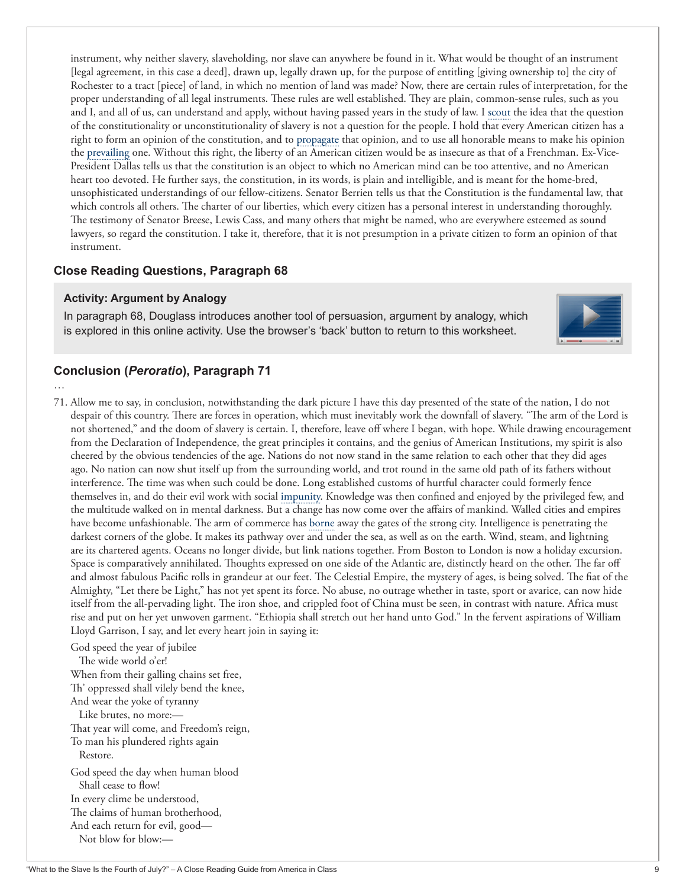instrument, why neither slavery, slaveholding, nor slave can anywhere be found in it. What would be thought of an instrument [legal agreement, in this case a deed], drawn up, legally drawn up, for the purpose of entitling [giving ownership to] the city of Rochester to a tract [piece] of land, in which no mention of land was made? Now, there are certain rules of interpretation, for the proper understanding of all legal instruments. These rules are well established. They are plain, common-sense rules, such as you and I, and all of us, can understand and apply, without having passed years in the study of law. I scout the idea that the question of the constitutionality or unconstitutionality of slavery is not a question for the people. I hold that every American citizen has a right to form an opinion of the constitution, and to propagate that opinion, and to use all honorable means to make his opinion the prevailing one. Without this right, the liberty of an American citizen would be as insecure as that of a Frenchman. Ex-Vice-President Dallas tells us that the constitution is an object to which no American mind can be too attentive, and no American heart too devoted. He further says, the constitution, in its words, is plain and intelligible, and is meant for the home-bred, unsophisticated understandings of our fellow-citizens. Senator Berrien tells us that the Constitution is the fundamental law, that which controls all others. The charter of our liberties, which every citizen has a personal interest in understanding thoroughly. The testimony of Senator Breese, Lewis Cass, and many others that might be named, who are everywhere esteemed as sound lawyers, so regard the constitution. I take it, therefore, that it is not presumption in a private citizen to form an opinion of that instrument.

#### **Close Reading Questions, Paragraph 68**

#### **Activity: Argument by Analogy**

…

[In paragraph 68, Douglass introduces another tool of persuasion, argument by analogy, which](http://americainclass.org/wp-content/activities/Douglass-Activity5/multiscreen.html)  is explored in this online activity. Use the browser's 'back' button to return to this worksheet.



## **Conclusion (***Peroratio***), Paragraph 71**

71. Allow me to say, in conclusion, notwithstanding the dark picture I have this day presented of the state of the nation, I do not despair of this country. There are forces in operation, which must inevitably work the downfall of slavery. "The arm of the Lord is not shortened," and the doom of slavery is certain. I, therefore, leave off where I began, with hope. While drawing encouragement from the Declaration of Independence, the great principles it contains, and the genius of American Institutions, my spirit is also cheered by the obvious tendencies of the age. Nations do not now stand in the same relation to each other that they did ages ago. No nation can now shut itself up from the surrounding world, and trot round in the same old path of its fathers without interference. The time was when such could be done. Long established customs of hurtful character could formerly fence themselves in, and do their evil work with social impunity. Knowledge was then confined and enjoyed by the privileged few, and the multitude walked on in mental darkness. But a change has now come over the affairs of mankind. Walled cities and empires have become unfashionable. The arm of commerce has borne away the gates of the strong city. Intelligence is penetrating the darkest corners of the globe. It makes its pathway over and under the sea, as well as on the earth. Wind, steam, and lightning are its chartered agents. Oceans no longer divide, but link nations together. From Boston to London is now a holiday excursion. Space is comparatively annihilated. Thoughts expressed on one side of the Atlantic are, distinctly heard on the other. The far off and almost fabulous Pacific rolls in grandeur at our feet. The Celestial Empire, the mystery of ages, is being solved. The fiat of the Almighty, "Let there be Light," has not yet spent its force. No abuse, no outrage whether in taste, sport or avarice, can now hide itself from the all-pervading light. The iron shoe, and crippled foot of China must be seen, in contrast with nature. Africa must rise and put on her yet unwoven garment. "Ethiopia shall stretch out her hand unto God." In the fervent aspirations of William Lloyd Garrison, I say, and let every heart join in saying it:

God speed the year of jubilee The wide world o'er! When from their galling chains set free, Th' oppressed shall vilely bend the knee, And wear the yoke of tyranny Like brutes, no more:— That year will come, and Freedom's reign, To man his plundered rights again Restore. God speed the day when human blood Shall cease to flow! In every clime be understood, The claims of human brotherhood, And each return for evil, good—

Not blow for blow:-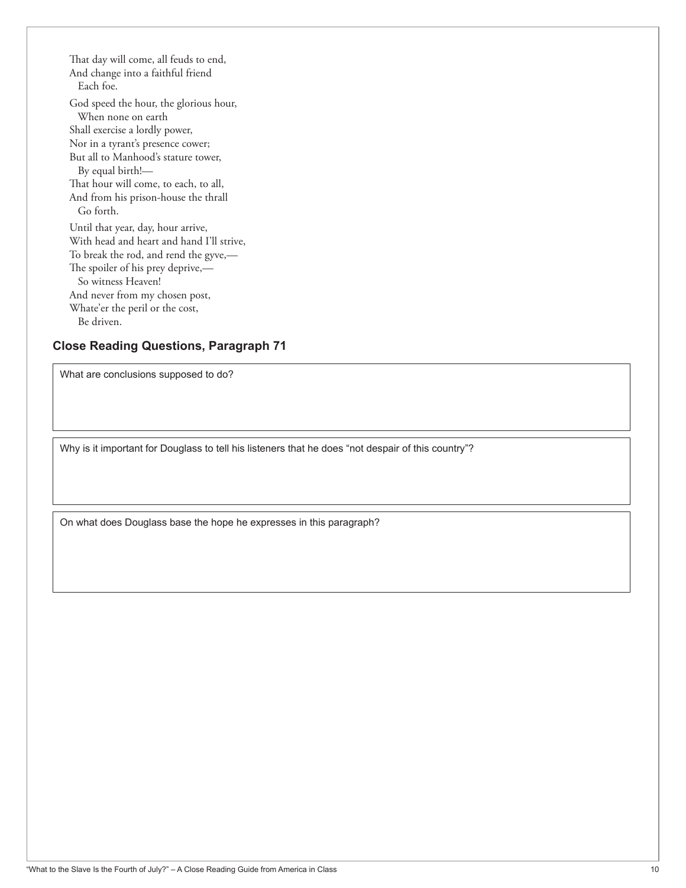That day will come, all feuds to end, And change into a faithful friend Each foe. God speed the hour, the glorious hour, When none on earth Shall exercise a lordly power, Nor in a tyrant's presence cower; But all to Manhood's stature tower, By equal birth!— That hour will come, to each, to all, And from his prison-house the thrall Go forth. Until that year, day, hour arrive, With head and heart and hand I'll strive, To break the rod, and rend the gyve,— The spoiler of his prey deprive,— So witness Heaven! And never from my chosen post, Whate'er the peril or the cost, Be driven.

## **Close Reading Questions, Paragraph 71**

What are conclusions supposed to do?

Why is it important for Douglass to tell his listeners that he does "not despair of this country"?

On what does Douglass base the hope he expresses in this paragraph?